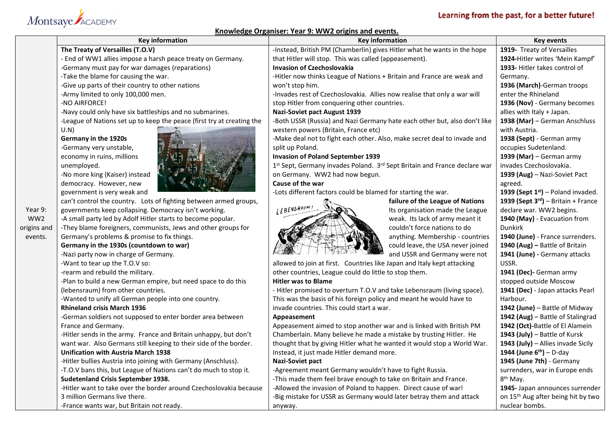## Montsaye ACADEMY

### Learning from the past, for a better future!

#### **Knowledge Organiser: Year 9: WW2 origins and events.**

|                 | <b>Key information</b>                                                 | <u>KIIUWIEURE OIRAIIISEI. TEAL 5. WWZ UIRIIIS AIIU EVEIIIS.</u><br><b>Key information</b> | <b>Key events</b>                               |
|-----------------|------------------------------------------------------------------------|-------------------------------------------------------------------------------------------|-------------------------------------------------|
|                 | The Treaty of Versailles (T.O.V)                                       | -Instead, British PM (Chamberlin) gives Hitler what he wants in the hope                  | 1919- Treaty of Versailles                      |
|                 | - End of WW1 allies impose a harsh peace treaty on Germany.            | that Hitler will stop. This was called (appeasement).                                     | 1924-Hitler writes 'Mein Kampf'                 |
|                 | -Germany must pay for war damages (reparations)                        | <b>Invasion of Czechoslovakia</b>                                                         | 1933- Hitler takes control of                   |
|                 | -Take the blame for causing the war.                                   | -Hitler now thinks League of Nations + Britain and France are weak and                    | Germany.                                        |
|                 | -Give up parts of their country to other nations                       | won't stop him.                                                                           | 1936 (March)-German troops                      |
|                 | -Army limited to only 100,000 men.                                     | -Invades rest of Czechoslovakia. Allies now realise that only a war will                  | enter the Rhineland                             |
|                 | -NO AIRFORCE!                                                          | stop Hitler from conquering other countries.                                              | 1936 (Nov) - Germany becomes                    |
|                 | -Navy could only have six battleships and no submarines.               | <b>Nazi-Soviet pact August 1939</b>                                                       | allies with Italy + Japan.                      |
|                 | -League of Nations set up to keep the peace (first try at creating the | -Both USSR (Russia) and Nazi Germany hate each other but, also don't like                 | 1938 (Mar) - German Anschluss                   |
|                 | U.N)                                                                   | western powers (Britain, France etc)                                                      | with Austria.                                   |
|                 | Germany in the 1920s                                                   | -Make deal not to fight each other. Also, make secret deal to invade and                  | 1938 (Sept) - German army                       |
|                 | -Germany very unstable,                                                | split up Poland.                                                                          | occupies Sudetenland.                           |
|                 | economy in ruins, millions                                             | <b>Invasion of Poland September 1939</b>                                                  | 1939 (Mar) - German army                        |
|                 | unemployed.                                                            | 1st Sept, Germany invades Poland. 3rd Sept Britain and France declare war                 | invades Czechoslovakia.                         |
|                 | -No more king (Kaiser) instead                                         | on Germany. WW2 had now begun.                                                            | 1939 (Aug) - Nazi-Soviet Pact                   |
|                 | democracy. However, new                                                | Cause of the war                                                                          |                                                 |
|                 | government is very weak and                                            | -Lots different factors could be blamed for starting the war.                             | agreed.<br>1939 (Sept $1st$ ) – Poland invaded. |
|                 | can't control the country. Lots of fighting between armed groups,      | failure of the League of Nations                                                          | 1939 (Sept $3rd$ ) – Britain + France           |
| Year 9:         | governments keep collapsing. Democracy isn't working.                  | LEBENSRAUM<br>Its organisation made the League                                            | declare war. WW2 begins.                        |
| WW <sub>2</sub> | -A small party led by Adolf Hitler starts to become popular.           | weak. Its lack of army meant it                                                           | 1940 (May) - Evacuation from                    |
| origins and     | -They blame foreigners, communists, Jews and other groups for          | couldn't force nations to do                                                              | <b>Dunkirk</b>                                  |
| events.         | Germany's problems & promise to fix things.                            | anything. Membership - countries                                                          | 1940 (June) - France surrenders.                |
|                 | Germany in the 1930s (countdown to war)                                | could leave, the USA never joined                                                         | 1940 (Aug) - Battle of Britain                  |
|                 | -Nazi party now in charge of Germany.                                  | and USSR and Germany were not                                                             | 1941 (June) - Germany attacks                   |
|                 | -Want to tear up the T.O.V so:                                         | allowed to join at first. Countries like Japan and Italy kept attacking                   | USSR.                                           |
|                 | -rearm and rebuild the military.                                       | other countries, League could do little to stop them.                                     | 1941 (Dec)- German army                         |
|                 | -Plan to build a new German empire, but need space to do this          | <b>Hitler was to Blame</b>                                                                | stopped outside Moscow                          |
|                 | (lebensraum) from other countries.                                     | - Hitler promised to overturn T.O.V and take Lebensraum (living space).                   | 1941 (Dec) - Japan attacks Pearl                |
|                 | -Wanted to unify all German people into one country.                   | This was the basis of his foreign policy and meant he would have to                       | Harbour.                                        |
|                 | <b>Rhineland crisis March 1936</b>                                     | invade countries. This could start a war.                                                 | 1942 (June) - Battle of Midway                  |
|                 | -German soldiers not supposed to enter border area between             | Appeasement                                                                               | 1942 (Aug) - Battle of Stalingrad               |
|                 | France and Germany.                                                    | Appeasement aimed to stop another war and is linked with British PM                       | 1942 (Oct)-Battle of El Alamein                 |
|                 | -Hitler sends in the army. France and Britain unhappy, but don't       | Chamberlain. Many believe he made a mistake by trusting Hitler. He                        | 1943 (July) - Battle of Kursk                   |
|                 | want war. Also Germans still keeping to their side of the border.      | thought that by giving Hitler what he wanted it would stop a World War.                   | 1943 (July) - Allies invade Sicily              |
|                 | <b>Unification with Austria March 1938</b>                             | Instead, it just made Hitler demand more.                                                 | 1944 (June $6^{th}$ ) – D-day                   |
|                 | -Hitler bullies Austria into joining with Germany (Anschluss).         | <b>Nazi-Soviet pact</b>                                                                   | 1945 (June 7th) - Germany                       |
|                 | -T.O.V bans this, but League of Nations can't do much to stop it.      | -Agreement meant Germany wouldn't have to fight Russia.                                   | surrenders, war in Europe ends                  |
|                 | Sudetenland Crisis September 1938.                                     | -This made them feel brave enough to take on Britain and France.                          | $8th$ May.                                      |
|                 | -Hitler want to take over the border around Czechoslovakia because     | -Allowed the invasion of Poland to happen. Direct cause of war!                           | 1945- Japan announces surrender                 |
|                 | 3 million Germans live there.                                          | -Big mistake for USSR as Germany would later betray them and attack                       | on 15 <sup>th</sup> Aug after being hit by two  |
|                 | -France wants war, but Britain not ready.                              | anyway.                                                                                   | nuclear bombs.                                  |